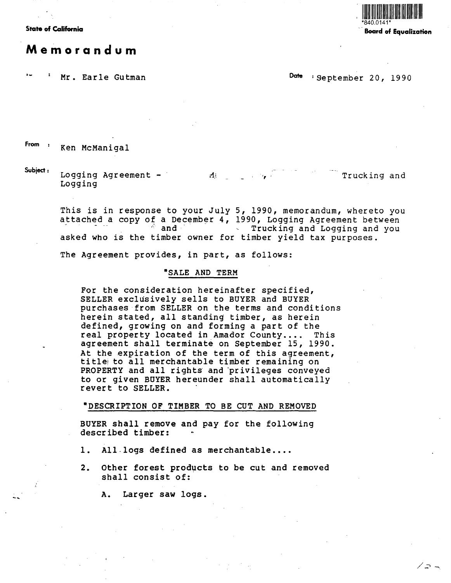

**State of California** · **Board of Equalization** 

ノコ ー

# **Memorandum**

Mr. Earle Gutman **Date COME Particle September 20, 1990** 

From : Ken McManigal

**Subject:** Logging Agreement  $\mathbf{M}$ Trucking and Logging

This is in response to your July 5, 1990, memorandum, whereto you attached a copy of a December 4, 1990, Logging Agreement between<br> $\frac{1990}{2}$  and  $\frac{1990}{2}$  Trucking and Logging and you Trucking and Logging and you asked who is the timber owner for timber yield tax purposes.

The Agreement provides, in part, as follows:

### **•SALE AND TERM**

For the consideration hereinafter specified, SELLER exclusively sells to BUYER and BUYER purchases from SELLER on the terms and conditions herein stated, all standing timber, as herein defined, growing on and forming a part of the<br>real property located in Amador County.... This real property located in Amador County.... agreement shall terminate on September 15, 1990.<br>At the expiration of the term of this agreement, title to all merchantable timber remaining on PROPERTY and all rights and privileges conveyed to or given BUYER hereunder shall automatically revert to SELLER. ·

#### •DESCRIPTION OF TIMBER TO BE CUT AND REMOVED

BUYER shall remove and pay for the following described timber:

- 1. All-logs defined as merchantable....
- 2. Other forest products to be cut and removed shall consist of:

A. Larger saw logs.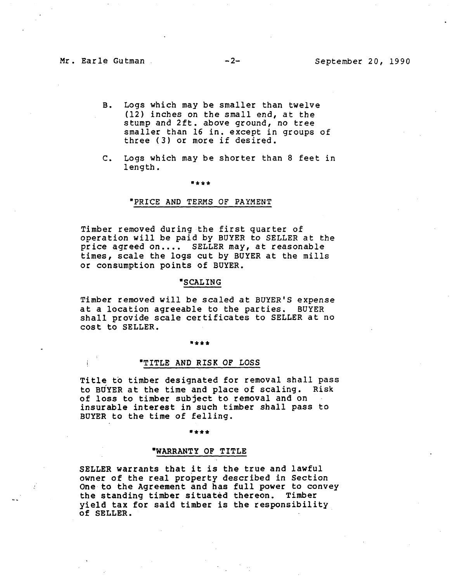- B. Logs which may be smaller than twelve (12) inches on the small end, at the stump and 2ft. above ground, no tree smaller than 16 in. except in groups of three (3) or more if desired.
- c. Logs which may be shorter than 8 feet in length.

\*\*\*

#### "PRICE AND TERMS OF PAYMENT

Timber removed during the first quarter of operation will be paid by BUYER to SELLER at the price agreed on.... SELLER may, at reasonable times, scale the logs cut by BUYER at the mills or consumption points of BUYER.

#### **"SCALING**

Timber removed will be scaled at BUYER'S expense<br>at a location agreeable to the parties. BUYER at a location agreeable to the parties. shall provide scale certificates to SELLER at no cost to SELLER.

#### "\*\*\*

## "TITLE AND RISK OF LOSS

Title to timber designated for removal shall pass to BUYER at the time and place of scaling. Risk of loss to timber subject to removal and on insurable interest in such timber shall pass to BUYER to the time of felling.

#### \*\*\*

#### **"WARRANTY** OF TITLE

SELLER warrants that it is the true and lawful owner of the real property described in Section One to the Agreement and has full power to convey the standing timber situated thereon. Timber yield tax for said timber is the responsibility of **SELLER.**